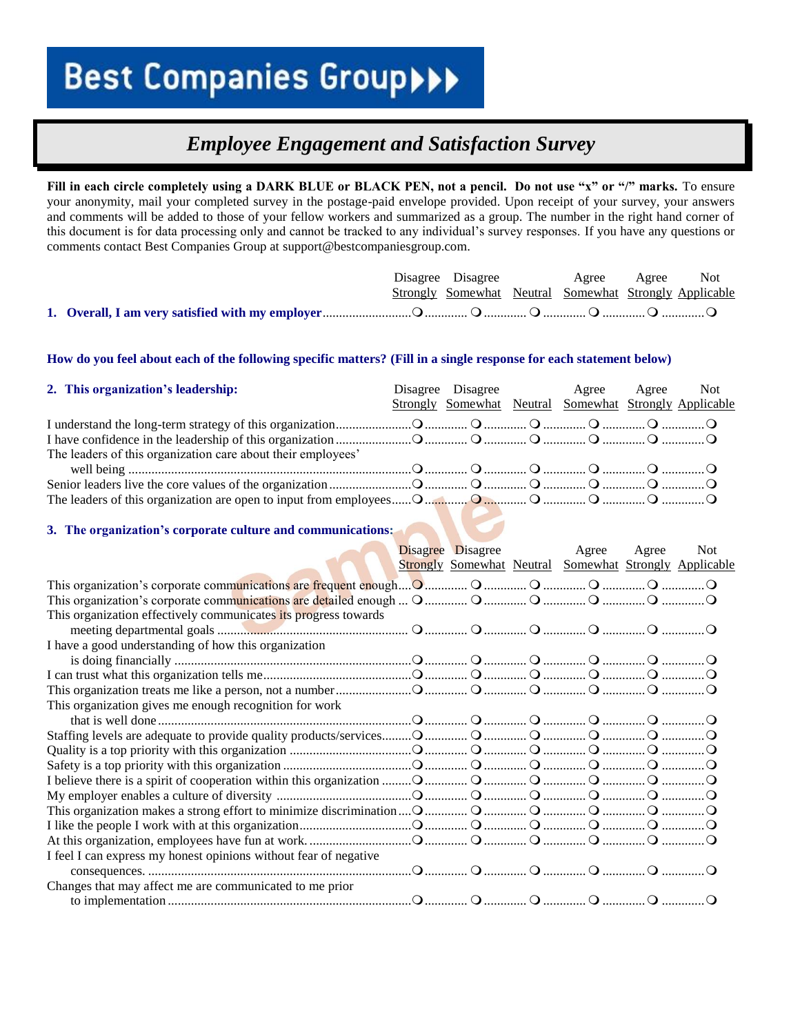### *Employee Engagement and Satisfaction Survey*

**Fill in each circle completely using a DARK BLUE or BLACK PEN, not a pencil. Do not use "x" or "/" marks.** To ensure your anonymity, mail your completed survey in the postage-paid envelope provided. Upon receipt of your survey, your answers and comments will be added to those of your fellow workers and summarized as a group. The number in the right hand corner of this document is for data processing only and cannot be tracked to any individual's survey responses. If you have any questions or comments contact Best Companies Group at support@bestcompaniesgroup.com.

|  |  | Disagree Disagree Agree Agree Not                      |  |
|--|--|--------------------------------------------------------|--|
|  |  | Strongly Somewhat Neutral Somewhat Strongly Applicable |  |
|  |  |                                                        |  |

#### **How do you feel about each of the following specific matters? (Fill in a single response for each statement below)**

| 2. This organization's leadership:                           |  | Disagree Disagree Agree Agree Not<br>Strongly Somewhat Neutral Somewhat Strongly Applicable |  |
|--------------------------------------------------------------|--|---------------------------------------------------------------------------------------------|--|
|                                                              |  |                                                                                             |  |
|                                                              |  |                                                                                             |  |
| The leaders of this organization care about their employees' |  |                                                                                             |  |
|                                                              |  |                                                                                             |  |
|                                                              |  |                                                                                             |  |
|                                                              |  |                                                                                             |  |

#### **3. The organization's corporate culture and communications:**

|                                                                                                        | <b>Disagree Disagree</b> | Agree                                                         | Agree | <b>Not</b> |
|--------------------------------------------------------------------------------------------------------|--------------------------|---------------------------------------------------------------|-------|------------|
|                                                                                                        |                          | <b>Strongly Somewhat Neutral Somewhat Strongly Applicable</b> |       |            |
|                                                                                                        |                          |                                                               |       |            |
| O manization's corporate communications are detailed enough  O manimum O manimum O manimum O manimum O |                          |                                                               |       |            |
| This organization effectively communicates its progress towards                                        |                          |                                                               |       |            |
|                                                                                                        |                          |                                                               |       |            |
| I have a good understanding of how this organization                                                   |                          |                                                               |       |            |
|                                                                                                        |                          |                                                               |       |            |
|                                                                                                        |                          |                                                               |       |            |
|                                                                                                        |                          |                                                               |       |            |
| This organization gives me enough recognition for work                                                 |                          |                                                               |       |            |
|                                                                                                        |                          |                                                               |       |            |
|                                                                                                        |                          |                                                               |       |            |
|                                                                                                        |                          |                                                               |       |            |
|                                                                                                        |                          |                                                               |       |            |
|                                                                                                        |                          |                                                               |       |            |
|                                                                                                        |                          |                                                               |       |            |
|                                                                                                        |                          |                                                               |       |            |
|                                                                                                        |                          |                                                               |       |            |
|                                                                                                        |                          |                                                               |       |            |
| I feel I can express my honest opinions without fear of negative                                       |                          |                                                               |       |            |
|                                                                                                        |                          |                                                               |       |            |
| Changes that may affect me are communicated to me prior                                                |                          |                                                               |       |            |
|                                                                                                        |                          |                                                               |       |            |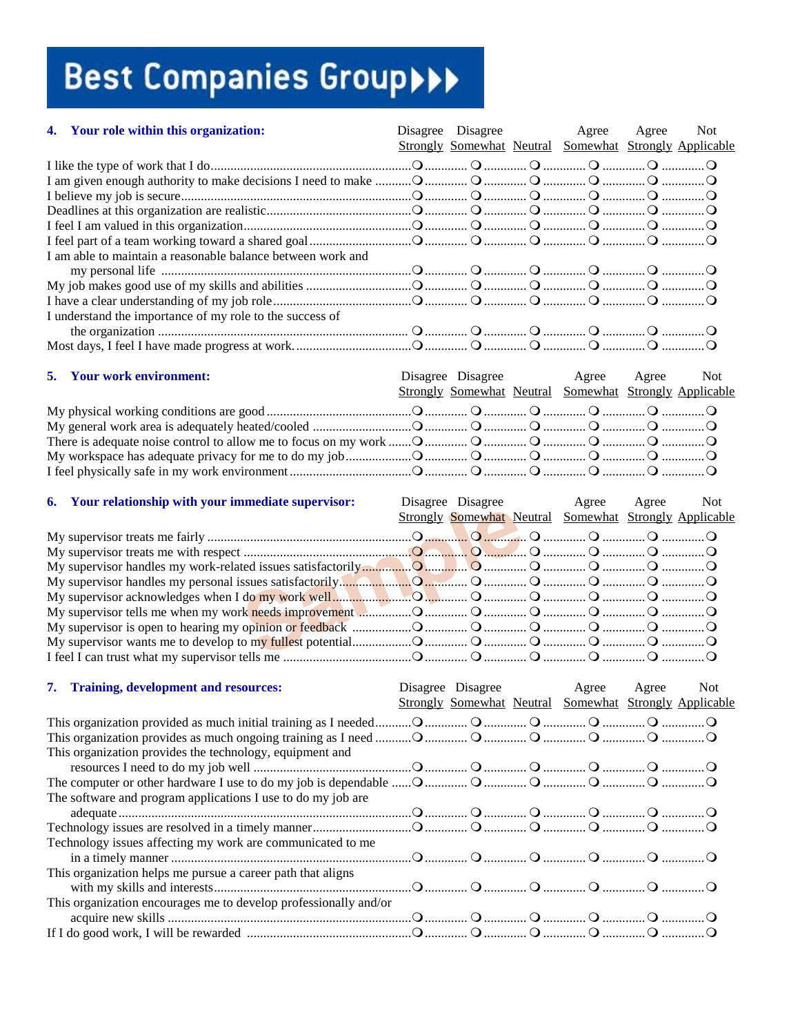| 4. Your role within this organization:                           | Disagree Disagree | Agree<br>Strongly Somewhat Neutral Somewhat Strongly Applicable | Agree | <b>Not</b> |
|------------------------------------------------------------------|-------------------|-----------------------------------------------------------------|-------|------------|
|                                                                  |                   |                                                                 |       |            |
|                                                                  |                   |                                                                 |       |            |
|                                                                  |                   |                                                                 |       |            |
|                                                                  |                   |                                                                 |       |            |
|                                                                  |                   |                                                                 |       |            |
|                                                                  |                   |                                                                 |       |            |
| I am able to maintain a reasonable balance between work and      |                   |                                                                 |       |            |
|                                                                  |                   |                                                                 |       |            |
|                                                                  |                   |                                                                 |       |            |
|                                                                  |                   |                                                                 |       |            |
| I understand the importance of my role to the success of         |                   |                                                                 |       |            |
|                                                                  |                   |                                                                 |       |            |
|                                                                  |                   |                                                                 |       |            |
|                                                                  |                   |                                                                 |       |            |
| 5. Your work environment:                                        |                   | Disagree Disagree Agree Agree                                   |       | Not        |
|                                                                  |                   | Strongly Somewhat Neutral Somewhat Strongly Applicable          |       |            |
|                                                                  |                   |                                                                 |       |            |
|                                                                  |                   |                                                                 |       |            |
|                                                                  |                   |                                                                 |       |            |
|                                                                  |                   |                                                                 |       |            |
|                                                                  |                   |                                                                 |       |            |
|                                                                  |                   |                                                                 |       |            |
|                                                                  |                   |                                                                 |       |            |
| 6. Your relationship with your immediate supervisor:             |                   | Disagree Disagree Agree Agree                                   |       | Not        |
|                                                                  |                   | Strongly Somewhat Neutral Somewhat Strongly Applicable          |       |            |
|                                                                  |                   |                                                                 |       |            |
|                                                                  |                   |                                                                 |       |            |
|                                                                  |                   |                                                                 |       |            |
|                                                                  |                   |                                                                 |       |            |
|                                                                  |                   |                                                                 |       |            |
|                                                                  |                   |                                                                 |       |            |
|                                                                  |                   |                                                                 |       |            |
|                                                                  |                   |                                                                 |       |            |
|                                                                  |                   |                                                                 |       |            |
|                                                                  |                   |                                                                 |       |            |
|                                                                  |                   |                                                                 |       |            |
|                                                                  |                   |                                                                 |       |            |
| 7. Training, development and resources:                          | Disagree Disagree | Agree                                                           | Agree | <b>Not</b> |
|                                                                  |                   | Strongly Somewhat Neutral Somewhat Strongly Applicable          |       |            |
|                                                                  |                   |                                                                 |       |            |
|                                                                  |                   |                                                                 |       |            |
| This organization provides the technology, equipment and         |                   |                                                                 |       |            |
|                                                                  |                   |                                                                 |       |            |
|                                                                  |                   |                                                                 |       |            |
| The software and program applications I use to do my job are     |                   |                                                                 |       |            |
|                                                                  |                   |                                                                 |       |            |
|                                                                  |                   |                                                                 |       |            |
| Technology issues affecting my work are communicated to me       |                   |                                                                 |       |            |
|                                                                  |                   |                                                                 |       |            |
| This organization helps me pursue a career path that aligns      |                   |                                                                 |       |            |
|                                                                  |                   |                                                                 |       |            |
| This organization encourages me to develop professionally and/or |                   |                                                                 |       |            |
|                                                                  |                   |                                                                 |       |            |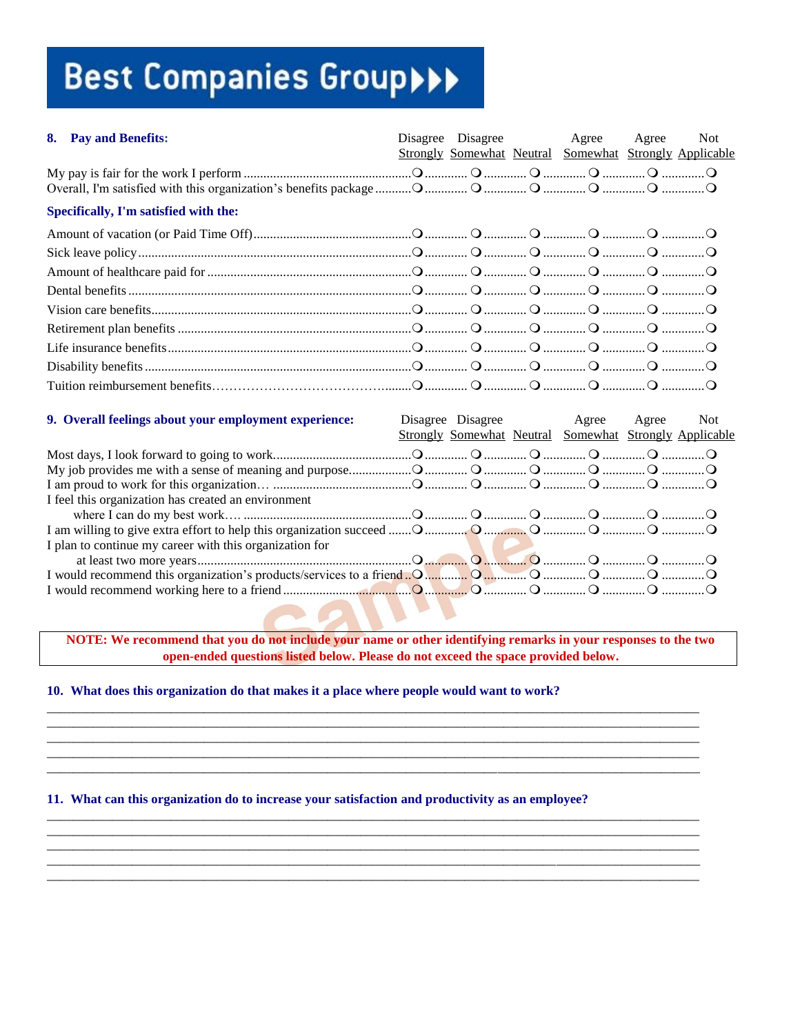| 8. Pay and Benefits:                                                                                           |  | Disagree Disagree Agree<br>Strongly Somewhat Neutral Somewhat Strongly Applicable | Agree | <b>Not</b> |
|----------------------------------------------------------------------------------------------------------------|--|-----------------------------------------------------------------------------------|-------|------------|
|                                                                                                                |  |                                                                                   |       |            |
| Specifically, I'm satisfied with the:                                                                          |  |                                                                                   |       |            |
|                                                                                                                |  |                                                                                   |       |            |
|                                                                                                                |  |                                                                                   |       |            |
|                                                                                                                |  |                                                                                   |       |            |
|                                                                                                                |  |                                                                                   |       |            |
|                                                                                                                |  |                                                                                   |       |            |
|                                                                                                                |  |                                                                                   |       |            |
|                                                                                                                |  |                                                                                   |       |            |
|                                                                                                                |  |                                                                                   |       |            |
|                                                                                                                |  |                                                                                   |       |            |
| 9. Overall feelings about your employment experience:                                                          |  | Disagree Disagree Agree<br>Strongly Somewhat Neutral Somewhat Strongly Applicable | Agree | <b>Not</b> |
|                                                                                                                |  |                                                                                   |       |            |
|                                                                                                                |  |                                                                                   |       |            |
|                                                                                                                |  |                                                                                   |       |            |
| I feel this organization has created an environment                                                            |  |                                                                                   |       |            |
|                                                                                                                |  |                                                                                   |       |            |
| I plan to continue my career with this organization for                                                        |  |                                                                                   |       |            |
| I would recommend this organization's products/services to a friend. O. Manual O. Manual O. Manual O. Manual O |  |                                                                                   |       |            |
|                                                                                                                |  |                                                                                   |       |            |

NOTE: We recommend that you do not include your name or other identifying remarks in your responses to the two open-ended questions listed below. Please do not exceed the space provided below.

10. What does this organization do that makes it a place where people would want to work?

11. What can this organization do to increase your satisfaction and productivity as an employee?